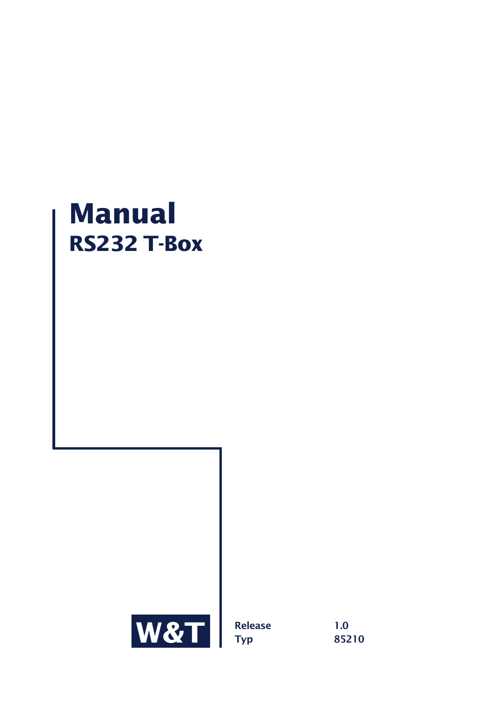# **Manual RS232 T-Box**



**Release 1.0 Typ 85210**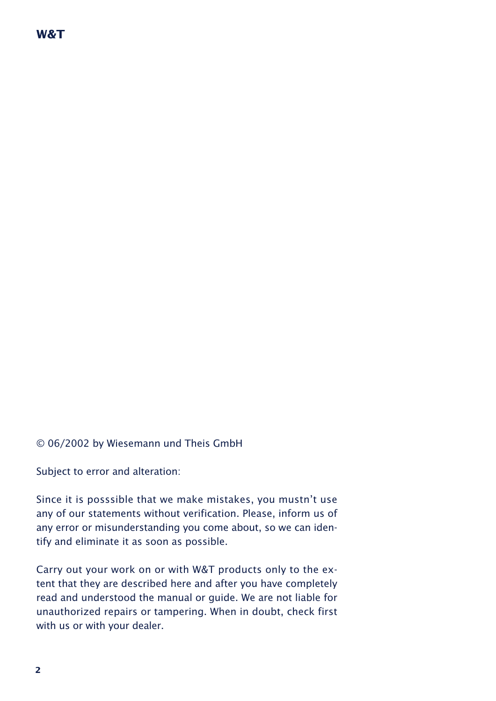## **W&T**

© 06/2002 by Wiesemann und Theis GmbH

Subject to error and alteration:

Since it is posssible that we make mistakes, you mustn't use any of our statements without verification. Please, inform us of any error or misunderstanding you come about, so we can identify and eliminate it as soon as possible.

Carry out your work on or with W&T products only to the extent that they are described here and after you have completely read and understood the manual or guide. We are not liable for unauthorized repairs or tampering. When in doubt, check first with us or with your dealer.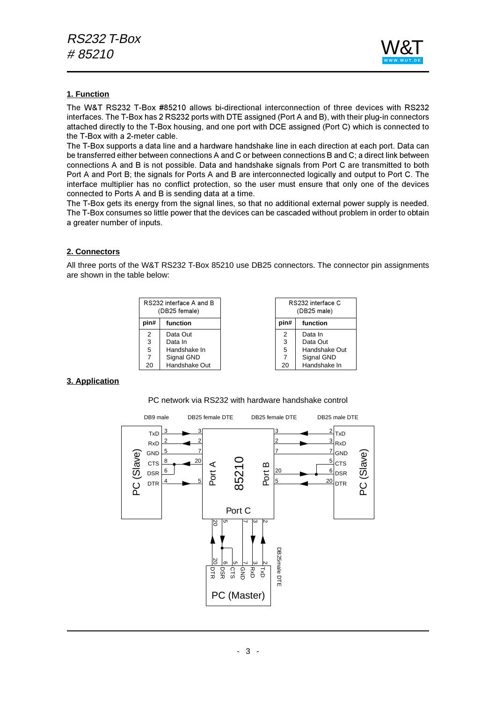

#### **1. Function**

The W&T RS232 T-Box #85210 allows bi-directional interconnection of three devices with RS232 interfaces. The T-Box has 2 RS232 ports with DTE assigned (Port A and B), with their plug-in connectors attached directly to the T-Box housing, and one port with DCE assigned (Port C) which is connected to the T-Box with a 2-meter cable.

The T-Box supports a data line and a hardware handshake line in each direction at each port. Data can be transferred either between connections A and C or between connections B and C; a direct link between connections A and B is not possible. Data and handshake signals from Port C are transmitted to both Port A and Port B; the signals for Ports A and B are interconnected logically and output to Port C. The interface multiplier has no conflict protection, so the user must ensure that only one of the devices connected to Ports A and B is sending data at a time.

The T-Box gets its energy from the signal lines, so that no additional external power supply is needed. The T-Box consumes so little power that the devices can be cascaded without problem in order to obtain a greater number of inputs.

#### **2. Connectors**

All three ports of the W&T RS232 T-Box 85210 use DB25 connectors. The connector pin assignments are shown in the table below:

|      | RS232 interface A and B<br>(DB25 female) |  | RS232 interface C<br>(DB25 male) |               |  |  |
|------|------------------------------------------|--|----------------------------------|---------------|--|--|
| pin# | function                                 |  | pin#                             | function      |  |  |
| 2    | Data Out                                 |  | 2                                | Data In       |  |  |
| 3    | Data In                                  |  | 3                                | Data Out      |  |  |
| 5    | Handshake In                             |  | 5                                | Handshake Out |  |  |
| 7    | Signal GND                               |  | 7                                | Signal GND    |  |  |
| 20   | Handshake Out                            |  | 20                               | Handshake In  |  |  |

#### **3. Application**